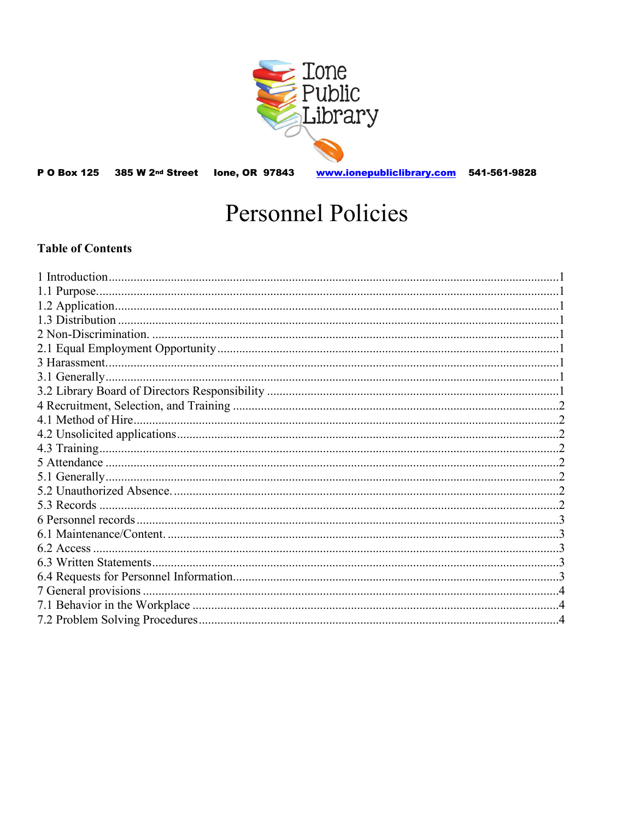

P O Box 125 385 W 2<sup>nd</sup> Street Ione, OR 97843

www.ionepubliclibrary.com 541-561-9828

# **Personnel Policies**

#### **Table of Contents**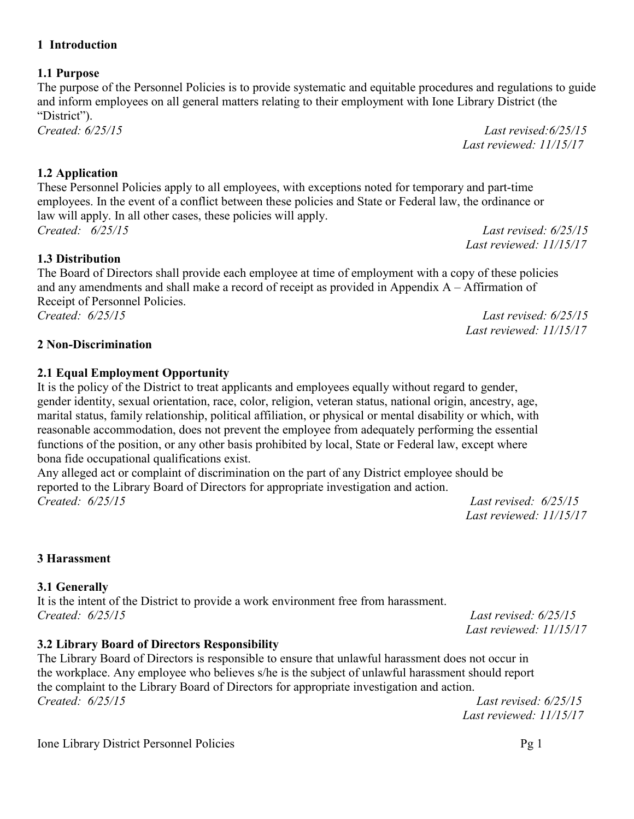#### Ione Library District Personnel Policies Pg 1

## **1 Introduction**

#### **1.1 Purpose**

The purpose of the Personnel Policies is to provide systematic and equitable procedures and regulations to guide and inform employees on all general matters relating to their employment with Ione Library District (the "District").

#### **1.2 Application**

These Personnel Policies apply to all employees, with exceptions noted for temporary and part-time employees. In the event of a conflict between these policies and State or Federal law, the ordinance or law will apply. In all other cases, these policies will apply. *Created: 6/25/15 Last revised: 6/25/15 Last reviewed: 11/15/17*

#### **1.3 Distribution**

The Board of Directors shall provide each employee at time of employment with a copy of these policies and any amendments and shall make a record of receipt as provided in Appendix A – Affirmation of Receipt of Personnel Policies. *Created: 6/25/15 Last revised: 6/25/15*

**2 Non-Discrimination**

#### **2.1 Equal Employment Opportunity**

It is the policy of the District to treat applicants and employees equally without regard to gender, gender identity, sexual orientation, race, color, religion, veteran status, national origin, ancestry, age, marital status, family relationship, political affiliation, or physical or mental disability or which, with reasonable accommodation, does not prevent the employee from adequately performing the essential functions of the position, or any other basis prohibited by local, State or Federal law, except where bona fide occupational qualifications exist.

Any alleged act or complaint of discrimination on the part of any District employee should be reported to the Library Board of Directors for appropriate investigation and action. *Created: 6/25/15 Last revised: 6/25/15*

**3 Harassment**

#### **3.1 Generally**

It is the intent of the District to provide a work environment free from harassment. *Created: 6/25/15 Last revised: 6/25/15*

*Last reviewed: 11/15/17*

*Last reviewed: 11/15/17*

### **3.2 Library Board of Directors Responsibility**

The Library Board of Directors is responsible to ensure that unlawful harassment does not occur in the workplace. Any employee who believes s/he is the subject of unlawful harassment should report the complaint to the Library Board of Directors for appropriate investigation and action. *Created: 6/25/15 Last revised: 6/25/15*

 *Last reviewed: 11/15/17*

*Last reviewed: 11/15/17*

#### *Created: 6/25/15 Last revised:6/25/15 Last reviewed: 11/15/17*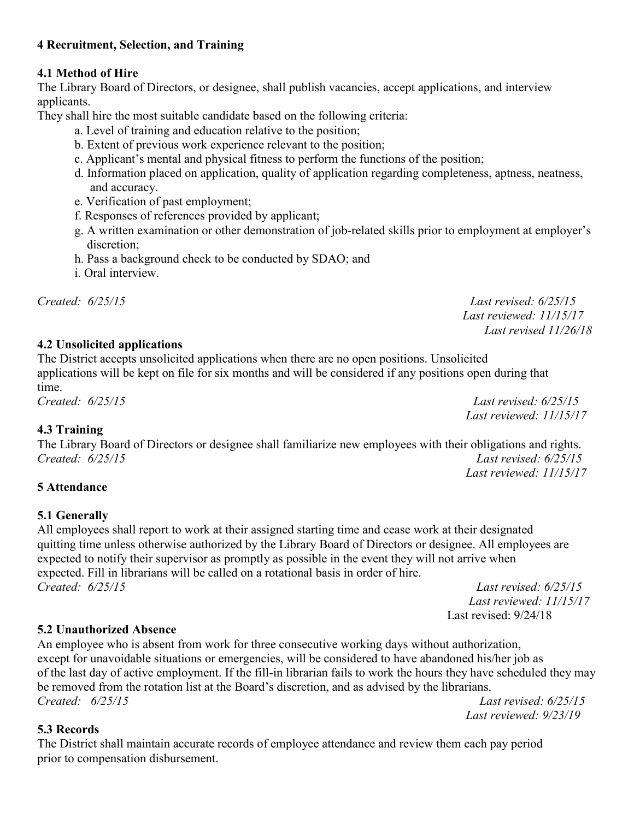#### **4 Recruitment, Selection, and Training**

#### **4.1 Method of Hire**

The Library Board of Directors, or designee, shall publish vacancies, accept applications, and interview applicants.

They shall hire the most suitable candidate based on the following criteria:

- a. Level of training and education relative to the position;
- b. Extent of previous work experience relevant to the position;
- c. Applicant's mental and physical fitness to perform the functions of the position;
- d. Information placed on application, quality of application regarding completeness, aptness, neatness, and accuracy.
- e. Verification of past employment;
- f. Responses of references provided by applicant;
- g. A written examination or other demonstration of job-related skills prior to employment at employer's discretion;
- h. Pass a background check to be conducted by SDAO; and
- i. Oral interview.

*Created: 6/25/15 Last revised: 6/25/15*

#### **4.2 Unsolicited applications**

The District accepts unsolicited applications when there are no open positions. Unsolicited applications will be kept on file for six months and will be considered if any positions open during that time.

#### **4.3 Training**

The Library Board of Directors or designee shall familiarize new employees with their obligations and rights. *Created: 6/25/15 Last revised: 6/25/15 Last reviewed: 11/15/17*

#### **5 Attendance**

#### **5.1 Generally**

All employees shall report to work at their assigned starting time and cease work at their designated quitting time unless otherwise authorized by the Library Board of Directors or designee. All employees are expected to notify their supervisor as promptly as possible in the event they will not arrive when expected. Fill in librarians will be called on a rotational basis in order of hire. *Created: 6/25/15 Last revised: 6/25/15*

 *Last reviewed: 11/15/17* Last revised: 9/24/18

#### **5.2 Unauthorized Absence**

An employee who is absent from work for three consecutive working days without authorization, except for unavoidable situations or emergencies, will be considered to have abandoned his/her job as of the last day of active employment. If the fill-in librarian fails to work the hours they have scheduled they may be removed from the rotation list at the Board's discretion, and as advised by the librarians. *Created: 6/25/15 Last revised: 6/25/15*

*Last reviewed: 9/23/19*

#### **5.3 Records**

The District shall maintain accurate records of employee attendance and review them each pay period prior to compensation disbursement.

## *Last reviewed: 11/15/17 Last revised 11/26/18*

*Created: 6/25/15 Last revised: 6/25/15 Last reviewed: 11/15/17*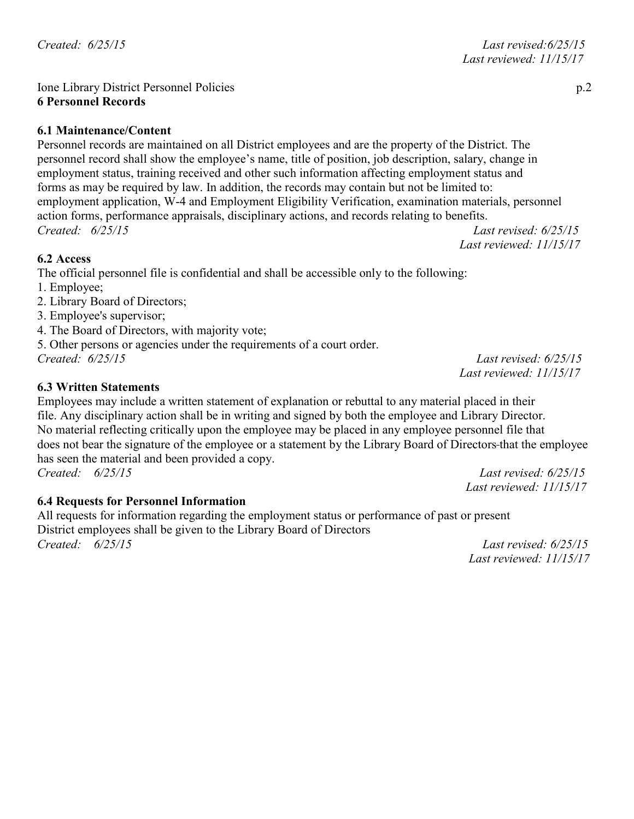Ione Library District Personnel Policies p.2 **6 Personnel Records**

#### **6.1 Maintenance/Content**

Personnel records are maintained on all District employees and are the property of the District. The personnel record shall show the employee's name, title of position, job description, salary, change in employment status, training received and other such information affecting employment status and forms as may be required by law. In addition, the records may contain but not be limited to: employment application, W-4 and Employment Eligibility Verification, examination materials, personnel action forms, performance appraisals, disciplinary actions, and records relating to benefits. *Created: 6/25/15 Last revised: 6/25/15*

*Last reviewed: 11/15/17*

*Last reviewed: 11/15/17*

#### **6.2 Access**

The official personnel file is confidential and shall be accessible only to the following:

- 1. Employee;
- 2. Library Board of Directors;
- 3. Employee's supervisor;
- 4. The Board of Directors, with majority vote;
- 5. Other persons or agencies under the requirements of a court order.

*Created: 6/25/15 Last revised: 6/25/15*

#### **6.3 Written Statements**

Employees may include a written statement of explanation or rebuttal to any material placed in their file. Any disciplinary action shall be in writing and signed by both the employee and Library Director. No material reflecting critically upon the employee may be placed in any employee personnel file that does not bear the signature of the employee or a statement by the Library Board of Directors that the employee has seen the material and been provided a copy. *Created: 6/25/15 Last revised: 6/25/15*

 *Last reviewed: 11/15/17*

#### **6.4 Requests for Personnel Information**

All requests for information regarding the employment status or performance of past or present District employees shall be given to the Library Board of Directors *Created: 6/25/15 Last revised: 6/25/15*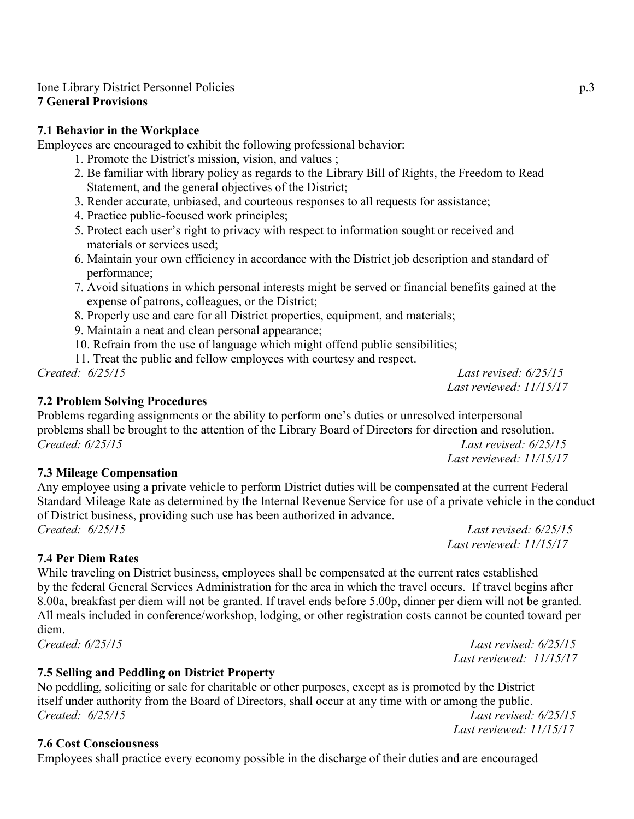#### Ione Library District Personnel Policies p.3 **7 General Provisions**

#### **7.1 Behavior in the Workplace**

Employees are encouraged to exhibit the following professional behavior:

- 1. Promote the District's mission, vision, and values ;
- 2. Be familiar with library policy as regards to the Library Bill of Rights, the Freedom to Read Statement, and the general objectives of the District;
- 3. Render accurate, unbiased, and courteous responses to all requests for assistance;
- 4. Practice public-focused work principles;
- 5. Protect each user's right to privacy with respect to information sought or received and materials or services used;
- 6. Maintain your own efficiency in accordance with the District job description and standard of performance;
- 7. Avoid situations in which personal interests might be served or financial benefits gained at the expense of patrons, colleagues, or the District;
- 8. Properly use and care for all District properties, equipment, and materials;
- 9. Maintain a neat and clean personal appearance;
- 10. Refrain from the use of language which might offend public sensibilities;

11. Treat the public and fellow employees with courtesy and respect.

*Created: 6/25/15 Last revised: 6/25/15 Last reviewed: 11/15/17*

#### **7.2 Problem Solving Procedures**

Problems regarding assignments or the ability to perform one's duties or unresolved interpersonal problems shall be brought to the attention of the Library Board of Directors for direction and resolution. *Created: 6/25/15 Last revised: 6/25/15 Last reviewed: 11/15/17*

#### **7.3 Mileage Compensation**

Any employee using a private vehicle to perform District duties will be compensated at the current Federal Standard Mileage Rate as determined by the Internal Revenue Service for use of a private vehicle in the conduct of District business, providing such use has been authorized in advance.<br>Created:  $6/25/15$ *Created: 6/25/15 Last revised: 6/25/15*

#### **7.4 Per Diem Rates**

While traveling on District business, employees shall be compensated at the current rates established by the federal General Services Administration for the area in which the travel occurs. If travel begins after 8.00a, breakfast per diem will not be granted. If travel ends before 5.00p, dinner per diem will not be granted. All meals included in conference/workshop, lodging, or other registration costs cannot be counted toward per diem.

*Created: 6/25/15 Last revised: 6/25/15*

#### **7.5 Selling and Peddling on District Property**

No peddling, soliciting or sale for charitable or other purposes, except as is promoted by the District itself under authority from the Board of Directors, shall occur at any time with or among the public. *Created: 6/25/15 Last revised: 6/25/15 Last reviewed: 11/15/17*

#### **7.6 Cost Consciousness**

Employees shall practice every economy possible in the discharge of their duties and are encouraged

*Last reviewed: 11/15/17*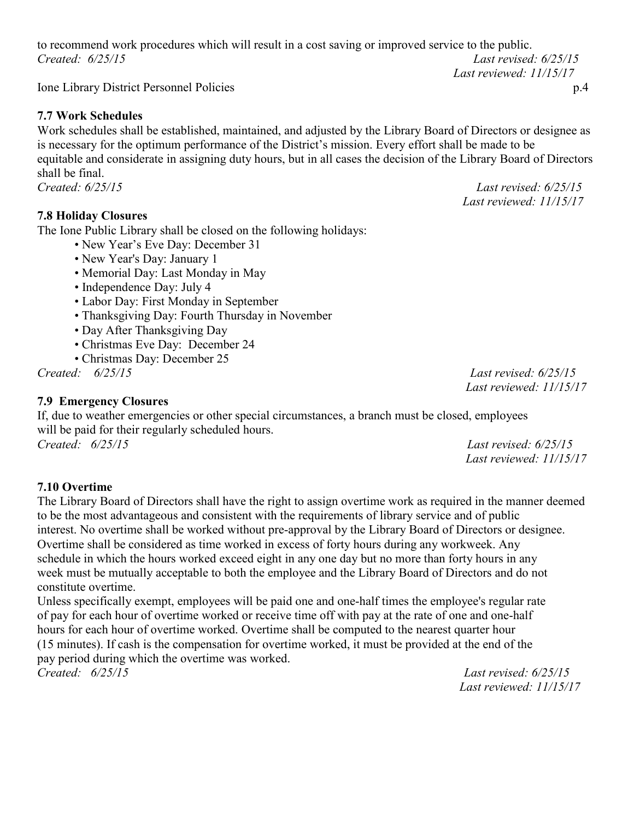to recommend work procedures which will result in a cost saving or improved service to the public. *Created: 6/25/15 Last revised: 6/25/15*

Ione Library District Personnel Policies p.4

#### **7.7 Work Schedules**

Work schedules shall be established, maintained, and adjusted by the Library Board of Directors or designee as is necessary for the optimum performance of the District's mission. Every effort shall be made to be equitable and considerate in assigning duty hours, but in all cases the decision of the Library Board of Directors shall be final. *Created: 6/25/15 Last revised: 6/25/15*

#### **7.8 Holiday Closures**

The Ione Public Library shall be closed on the following holidays:

- New Year's Eve Day: December 31
- New Year's Day: January 1
- Memorial Day: Last Monday in May
- Independence Day: July 4
- Labor Day: First Monday in September
- Thanksgiving Day: Fourth Thursday in November
- Day After Thanksgiving Day
- Christmas Eve Day: December 24
- Christmas Day: December 25

#### **7.9 Emergency Closures**

If, due to weather emergencies or other special circumstances, a branch must be closed, employees will be paid for their regularly scheduled hours.<br>Created:  $6/25/15$ 

*Created: 6/25/15 Last revised: 6/25/15 Last reviewed: 11/15/17*

#### **7.10 Overtime**

The Library Board of Directors shall have the right to assign overtime work as required in the manner deemed to be the most advantageous and consistent with the requirements of library service and of public interest. No overtime shall be worked without pre-approval by the Library Board of Directors or designee. Overtime shall be considered as time worked in excess of forty hours during any workweek. Any schedule in which the hours worked exceed eight in any one day but no more than forty hours in any week must be mutually acceptable to both the employee and the Library Board of Directors and do not constitute overtime.

Unless specifically exempt, employees will be paid one and one-half times the employee's regular rate of pay for each hour of overtime worked or receive time off with pay at the rate of one and one-half hours for each hour of overtime worked. Overtime shall be computed to the nearest quarter hour (15 minutes). If cash is the compensation for overtime worked, it must be provided at the end of the pay period during which the overtime was worked. *Created: 6/25/15 Last revised: 6/25/15*

*Last reviewed: 11/15/17*

 *Last reviewed: 11/15/17*

*Created: 6/25/15 Last revised: 6/25/15 Last reviewed: 11/15/17*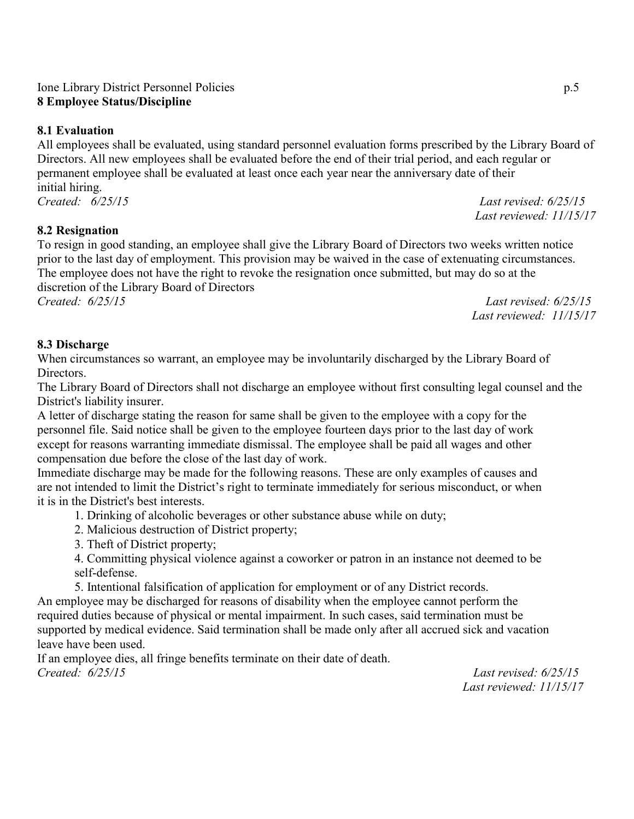#### Ione Library District Personnel Policies p.5 **8 Employee Status/Discipline**

#### **8.1 Evaluation**

All employees shall be evaluated, using standard personnel evaluation forms prescribed by the Library Board of Directors. All new employees shall be evaluated before the end of their trial period, and each regular or permanent employee shall be evaluated at least once each year near the anniversary date of their initial hiring. *Created: 6/25/15 Last revised: 6/25/15*

#### **8.2 Resignation**

To resign in good standing, an employee shall give the Library Board of Directors two weeks written notice prior to the last day of employment. This provision may be waived in the case of extenuating circumstances. The employee does not have the right to revoke the resignation once submitted, but may do so at the discretion of the Library Board of Directors

*Created: 6/25/15 Last revised: 6/25/15 Last reviewed: 11/15/17*

*Last reviewed: 11/15/17*

#### **8.3 Discharge**

When circumstances so warrant, an employee may be involuntarily discharged by the Library Board of Directors.

The Library Board of Directors shall not discharge an employee without first consulting legal counsel and the District's liability insurer.

A letter of discharge stating the reason for same shall be given to the employee with a copy for the personnel file. Said notice shall be given to the employee fourteen days prior to the last day of work except for reasons warranting immediate dismissal. The employee shall be paid all wages and other compensation due before the close of the last day of work.

Immediate discharge may be made for the following reasons. These are only examples of causes and are not intended to limit the District's right to terminate immediately for serious misconduct, or when it is in the District's best interests.

- 1. Drinking of alcoholic beverages or other substance abuse while on duty;
- 2. Malicious destruction of District property;
- 3. Theft of District property;

4. Committing physical violence against a coworker or patron in an instance not deemed to be self-defense.

5. Intentional falsification of application for employment or of any District records.

An employee may be discharged for reasons of disability when the employee cannot perform the required duties because of physical or mental impairment. In such cases, said termination must be supported by medical evidence. Said termination shall be made only after all accrued sick and vacation leave have been used.

If an employee dies, all fringe benefits terminate on their date of death. *Created: 6/25/15 Last revised: 6/25/15*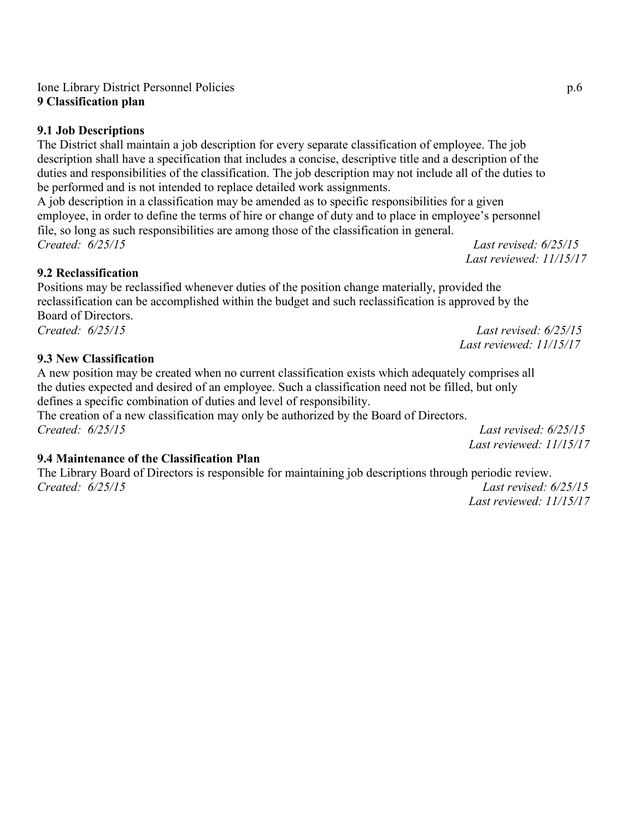#### Ione Library District Personnel Policies p.6 **9 Classification plan**

#### **9.1 Job Descriptions**

The District shall maintain a job description for every separate classification of employee. The job description shall have a specification that includes a concise, descriptive title and a description of the duties and responsibilities of the classification. The job description may not include all of the duties to be performed and is not intended to replace detailed work assignments.

A job description in a classification may be amended as to specific responsibilities for a given employee, in order to define the terms of hire or change of duty and to place in employee's personnel file, so long as such responsibilities are among those of the classification in general. *Created: 6/25/15 Last revised: 6/25/15*

**9.2 Reclassification**

Positions may be reclassified whenever duties of the position change materially, provided the reclassification can be accomplished within the budget and such reclassification is approved by the Board of Directors. *Created: 6/25/15 Last revised: 6/25/15*

#### **9.3 New Classification**

A new position may be created when no current classification exists which adequately comprises all the duties expected and desired of an employee. Such a classification need not be filled, but only defines a specific combination of duties and level of responsibility.

The creation of a new classification may only be authorized by the Board of Directors. *Created: 6/25/15 Last revised: 6/25/15*

#### **9.4 Maintenance of the Classification Plan**

The Library Board of Directors is responsible for maintaining job descriptions through periodic review. *Created: 6/25/15 Last revised: 6/25/15 Last reviewed: 11/15/17*

*Last reviewed: 11/15/17*

 *Last reviewed: 11/15/17*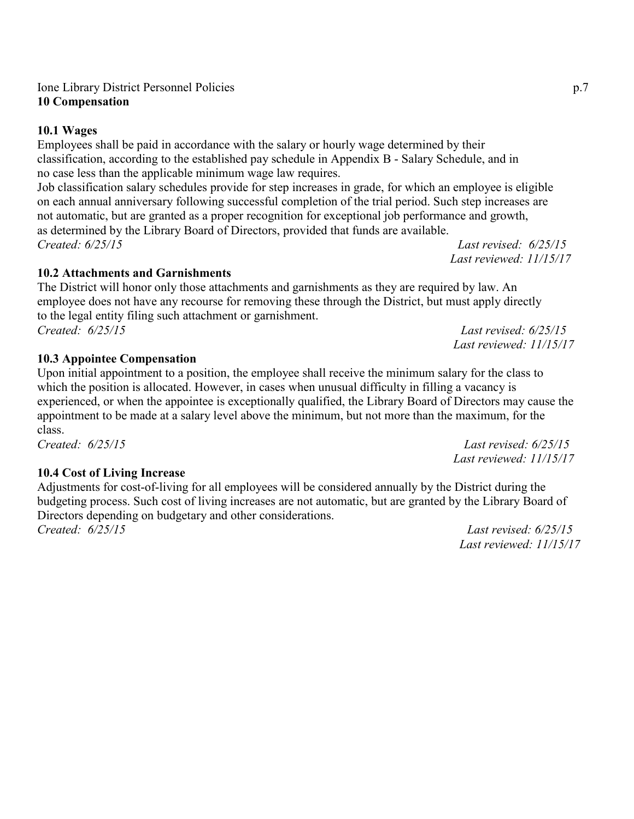#### Ione Library District Personnel Policies p.7 **10 Compensation**

#### **10.1 Wages**

Employees shall be paid in accordance with the salary or hourly wage determined by their classification, according to the established pay schedule in Appendix B - Salary Schedule, and in no case less than the applicable minimum wage law requires.

Job classification salary schedules provide for step increases in grade, for which an employee is eligible on each annual anniversary following successful completion of the trial period. Such step increases are not automatic, but are granted as a proper recognition for exceptional job performance and growth, as determined by the Library Board of Directors, provided that funds are available. *Created: 6/25/15 Last revised: 6/25/15*

#### **10.2 Attachments and Garnishments**

The District will honor only those attachments and garnishments as they are required by law. An employee does not have any recourse for removing these through the District, but must apply directly to the legal entity filing such attachment or garnishment. *Created: 6/25/15 Last revised: 6/25/15 Last reviewed: 11/15/17*

#### **10.3 Appointee Compensation**

Upon initial appointment to a position, the employee shall receive the minimum salary for the class to which the position is allocated. However, in cases when unusual difficulty in filling a vacancy is experienced, or when the appointee is exceptionally qualified, the Library Board of Directors may cause the appointment to be made at a salary level above the minimum, but not more than the maximum, for the class.

#### **10.4 Cost of Living Increase**

Adjustments for cost-of-living for all employees will be considered annually by the District during the budgeting process. Such cost of living increases are not automatic, but are granted by the Library Board of Directors depending on budgetary and other considerations.<br>Created:  $6/25/15$ 

*Created: 6/25/15 Last revised: 6/25/15 Last reviewed: 11/15/17*

*Last reviewed: 11/15/17*

*Created: 6/25/15 Last revised: 6/25/15 Last reviewed: 11/15/17*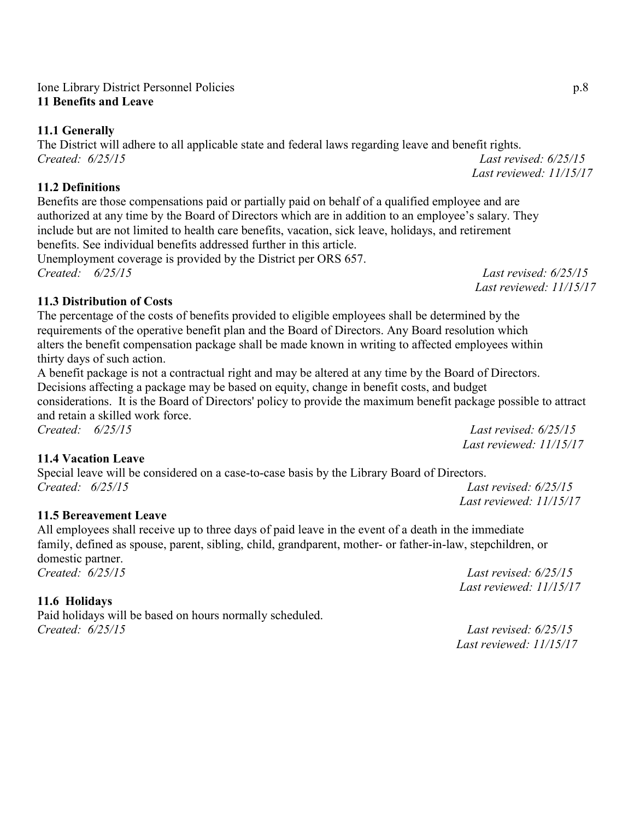#### Ione Library District Personnel Policies p.8 **11 Benefits and Leave**

#### **11.1 Generally**

The District will adhere to all applicable state and federal laws regarding leave and benefit rights. *Created: 6/25/15 Last revised: 6/25/15 Last reviewed: 11/15/17*

#### **11.2 Definitions**

Benefits are those compensations paid or partially paid on behalf of a qualified employee and are authorized at any time by the Board of Directors which are in addition to an employee's salary. They include but are not limited to health care benefits, vacation, sick leave, holidays, and retirement benefits. See individual benefits addressed further in this article.

Unemployment coverage is provided by the District per ORS 657. *Created: 6/25/15 Last revised: 6/25/15*

**11.3 Distribution of Costs**

The percentage of the costs of benefits provided to eligible employees shall be determined by the requirements of the operative benefit plan and the Board of Directors. Any Board resolution which alters the benefit compensation package shall be made known in writing to affected employees within thirty days of such action.

A benefit package is not a contractual right and may be altered at any time by the Board of Directors. Decisions affecting a package may be based on equity, change in benefit costs, and budget considerations. It is the Board of Directors' policy to provide the maximum benefit package possible to attract and retain a skilled work force. *Created: 6/25/15 Last revised: 6/25/15*

*Last reviewed: 11/15/17*

*Last reviewed: 11/15/17*

## **11.4 Vacation Leave**

Special leave will be considered on a case-to-case basis by the Library Board of Directors. *Created: 6/25/15 Last revised: 6/25/15 Last reviewed: 11/15/17*

#### **11.5 Bereavement Leave**

All employees shall receive up to three days of paid leave in the event of a death in the immediate family, defined as spouse, parent, sibling, child, grandparent, mother- or father-in-law, stepchildren, or domestic partner. *Created: 6/25/15 Last revised: 6/25/15*

#### **11.6 Holidays**

Paid holidays will be based on hours normally scheduled. *Created: 6/25/15 Last revised: 6/25/15*

*Last reviewed: 11/15/17*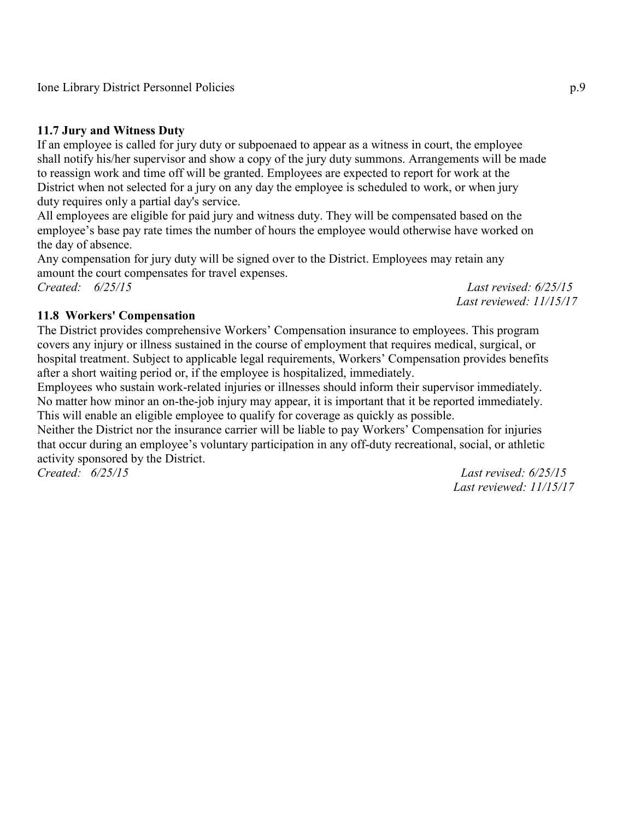#### **11.7 Jury and Witness Duty**

If an employee is called for jury duty or subpoenaed to appear as a witness in court, the employee shall notify his/her supervisor and show a copy of the jury duty summons. Arrangements will be made to reassign work and time off will be granted. Employees are expected to report for work at the District when not selected for a jury on any day the employee is scheduled to work, or when jury duty requires only a partial day's service.

All employees are eligible for paid jury and witness duty. They will be compensated based on the employee's base pay rate times the number of hours the employee would otherwise have worked on the day of absence.

Any compensation for jury duty will be signed over to the District. Employees may retain any amount the court compensates for travel expenses.

*Created: 6/25/15 Last revised: 6/25/15 Last reviewed: 11/15/17*

#### **11.8 Workers' Compensation**

The District provides comprehensive Workers' Compensation insurance to employees. This program covers any injury or illness sustained in the course of employment that requires medical, surgical, or hospital treatment. Subject to applicable legal requirements, Workers' Compensation provides benefits after a short waiting period or, if the employee is hospitalized, immediately.

Employees who sustain work-related injuries or illnesses should inform their supervisor immediately. No matter how minor an on-the-job injury may appear, it is important that it be reported immediately. This will enable an eligible employee to qualify for coverage as quickly as possible.

Neither the District nor the insurance carrier will be liable to pay Workers' Compensation for injuries that occur during an employee's voluntary participation in any off-duty recreational, social, or athletic activity sponsored by the District.<br>Created:  $6/25/15$ 

*Created: 6/25/15 Last revised: 6/25/15 Last reviewed: 11/15/17*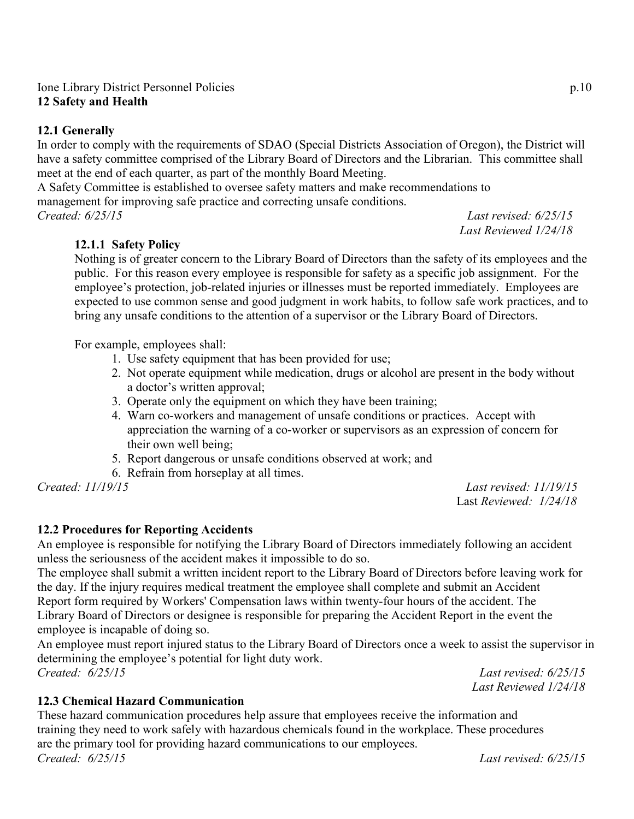#### Ione Library District Personnel Policies p.10 **12 Safety and Health**

#### **12.1 Generally**

In order to comply with the requirements of SDAO (Special Districts Association of Oregon), the District will have a safety committee comprised of the Library Board of Directors and the Librarian. This committee shall meet at the end of each quarter, as part of the monthly Board Meeting.

A Safety Committee is established to oversee safety matters and make recommendations to management for improving safe practice and correcting unsafe conditions.

*Created: 6/25/15 Last revised: 6/25/15 Last Reviewed 1/24/18*

#### **12.1.1 Safety Policy**

Nothing is of greater concern to the Library Board of Directors than the safety of its employees and the public. For this reason every employee is responsible for safety as a specific job assignment. For the employee's protection, job-related injuries or illnesses must be reported immediately. Employees are expected to use common sense and good judgment in work habits, to follow safe work practices, and to bring any unsafe conditions to the attention of a supervisor or the Library Board of Directors.

For example, employees shall:

- 1. Use safety equipment that has been provided for use;
- 2. Not operate equipment while medication, drugs or alcohol are present in the body without a doctor's written approval;
- 3. Operate only the equipment on which they have been training;
- 4. Warn co-workers and management of unsafe conditions or practices. Accept with appreciation the warning of a co-worker or supervisors as an expression of concern for their own well being;
- 5. Report dangerous or unsafe conditions observed at work; and
- 6. Refrain from horseplay at all times.

*Created: 11/19/15 Last revised: 11/19/15* Last *Reviewed: 1/24/18*

#### **12.2 Procedures for Reporting Accidents**

An employee is responsible for notifying the Library Board of Directors immediately following an accident unless the seriousness of the accident makes it impossible to do so.

The employee shall submit a written incident report to the Library Board of Directors before leaving work for the day. If the injury requires medical treatment the employee shall complete and submit an Accident Report form required by Workers' Compensation laws within twenty-four hours of the accident. The Library Board of Directors or designee is responsible for preparing the Accident Report in the event the employee is incapable of doing so.

An employee must report injured status to the Library Board of Directors once a week to assist the supervisor in determining the employee's potential for light duty work.

*Created: 6/25/15 Last revised: 6/25/15 Last Reviewed 1/24/18*

#### **12.3 Chemical Hazard Communication**

These hazard communication procedures help assure that employees receive the information and training they need to work safely with hazardous chemicals found in the workplace. These procedures are the primary tool for providing hazard communications to our employees. *Created: 6/25/15 Last revised: 6/25/15*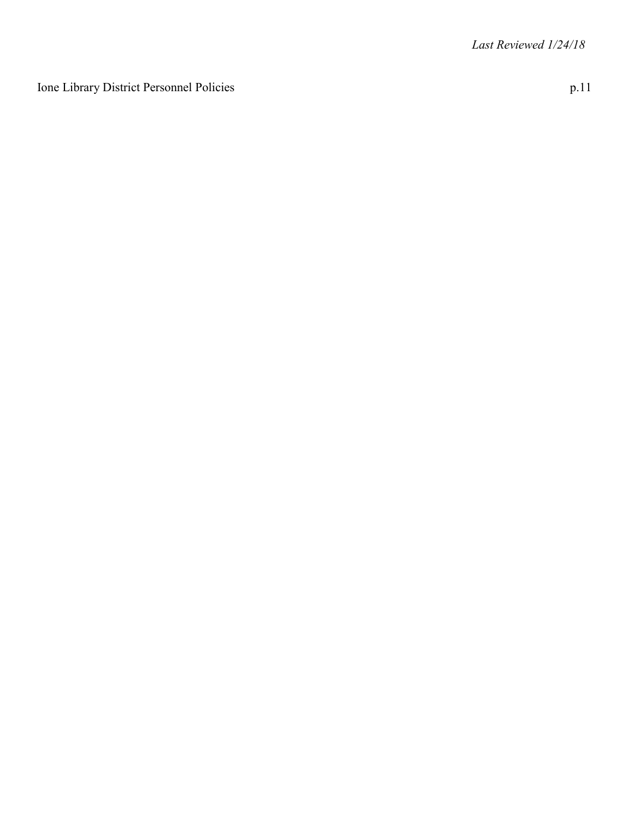Ione Library District Personnel Policies p.11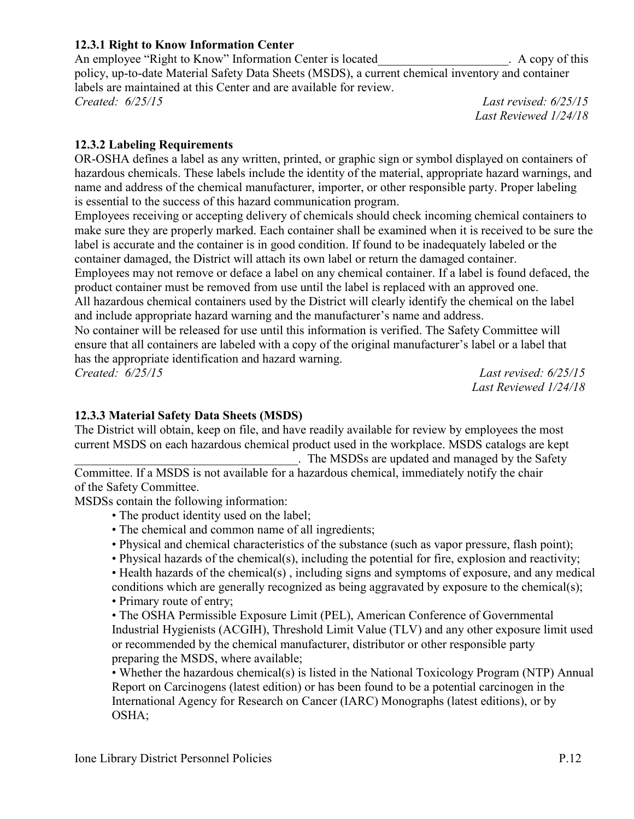#### **12.3.1 Right to Know Information Center**

An employee "Right to Know" Information Center is located . A copy of this policy, up-to-date Material Safety Data Sheets (MSDS), a current chemical inventory and container labels are maintained at this Center and are available for review. *Created: 6/25/15 Last revised: 6/25/15*

 *Last Reviewed 1/24/18*

#### **12.3.2 Labeling Requirements**

OR-OSHA defines a label as any written, printed, or graphic sign or symbol displayed on containers of hazardous chemicals. These labels include the identity of the material, appropriate hazard warnings, and name and address of the chemical manufacturer, importer, or other responsible party. Proper labeling is essential to the success of this hazard communication program.

Employees receiving or accepting delivery of chemicals should check incoming chemical containers to make sure they are properly marked. Each container shall be examined when it is received to be sure the label is accurate and the container is in good condition. If found to be inadequately labeled or the container damaged, the District will attach its own label or return the damaged container.

Employees may not remove or deface a label on any chemical container. If a label is found defaced, the product container must be removed from use until the label is replaced with an approved one. All hazardous chemical containers used by the District will clearly identify the chemical on the label

and include appropriate hazard warning and the manufacturer's name and address.

No container will be released for use until this information is verified. The Safety Committee will ensure that all containers are labeled with a copy of the original manufacturer's label or a label that has the appropriate identification and hazard warning.

*Created: 6/25/15 Last revised: 6/25/15 Last Reviewed 1/24/18*

#### **12.3.3 Material Safety Data Sheets (MSDS)**

The District will obtain, keep on file, and have readily available for review by employees the most current MSDS on each hazardous chemical product used in the workplace. MSDS catalogs are kept . The MSDSs are updated and managed by the Safety

Committee. If a MSDS is not available for a hazardous chemical, immediately notify the chair of the Safety Committee.

MSDSs contain the following information:

- The product identity used on the label;
- The chemical and common name of all ingredients;
- Physical and chemical characteristics of the substance (such as vapor pressure, flash point);
- Physical hazards of the chemical(s), including the potential for fire, explosion and reactivity;
- Health hazards of the chemical(s) , including signs and symptoms of exposure, and any medical conditions which are generally recognized as being aggravated by exposure to the chemical(s);
- Primary route of entry;

• The OSHA Permissible Exposure Limit (PEL), American Conference of Governmental Industrial Hygienists (ACGIH), Threshold Limit Value (TLV) and any other exposure limit used or recommended by the chemical manufacturer, distributor or other responsible party preparing the MSDS, where available;

• Whether the hazardous chemical(s) is listed in the National Toxicology Program (NTP) Annual Report on Carcinogens (latest edition) or has been found to be a potential carcinogen in the International Agency for Research on Cancer (IARC) Monographs (latest editions), or by OSHA;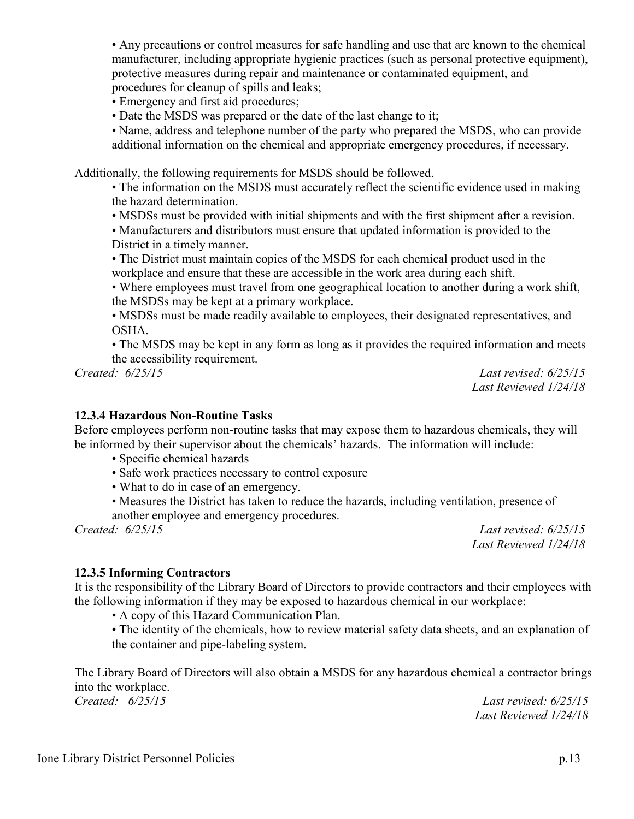• Any precautions or control measures for safe handling and use that are known to the chemical manufacturer, including appropriate hygienic practices (such as personal protective equipment), protective measures during repair and maintenance or contaminated equipment, and procedures for cleanup of spills and leaks;

• Emergency and first aid procedures;

• Date the MSDS was prepared or the date of the last change to it;

• Name, address and telephone number of the party who prepared the MSDS, who can provide additional information on the chemical and appropriate emergency procedures, if necessary.

Additionally, the following requirements for MSDS should be followed.

• The information on the MSDS must accurately reflect the scientific evidence used in making the hazard determination.

• MSDSs must be provided with initial shipments and with the first shipment after a revision.

• Manufacturers and distributors must ensure that updated information is provided to the District in a timely manner.

• The District must maintain copies of the MSDS for each chemical product used in the workplace and ensure that these are accessible in the work area during each shift.

• Where employees must travel from one geographical location to another during a work shift, the MSDSs may be kept at a primary workplace.

• MSDSs must be made readily available to employees, their designated representatives, and OSHA.

• The MSDS may be kept in any form as long as it provides the required information and meets the accessibility requirement.

*Created: 6/25/15 Last revised: 6/25/15 Last Reviewed 1/24/18*

#### **12.3.4 Hazardous Non-Routine Tasks**

Before employees perform non-routine tasks that may expose them to hazardous chemicals, they will be informed by their supervisor about the chemicals' hazards. The information will include:

- Specific chemical hazards
- Safe work practices necessary to control exposure
- What to do in case of an emergency.
- Measures the District has taken to reduce the hazards, including ventilation, presence of another employee and emergency procedures.<br>Created:  $6/25/15$

*Created: 6/25/15 Last revised: 6/25/15 Last Reviewed 1/24/18*

#### **12.3.5 Informing Contractors**

It is the responsibility of the Library Board of Directors to provide contractors and their employees with the following information if they may be exposed to hazardous chemical in our workplace:

- A copy of this Hazard Communication Plan.
- The identity of the chemicals, how to review material safety data sheets, and an explanation of the container and pipe-labeling system.

The Library Board of Directors will also obtain a MSDS for any hazardous chemical a contractor brings into the workplace. *Created: 6/25/15 Last revised: 6/25/15*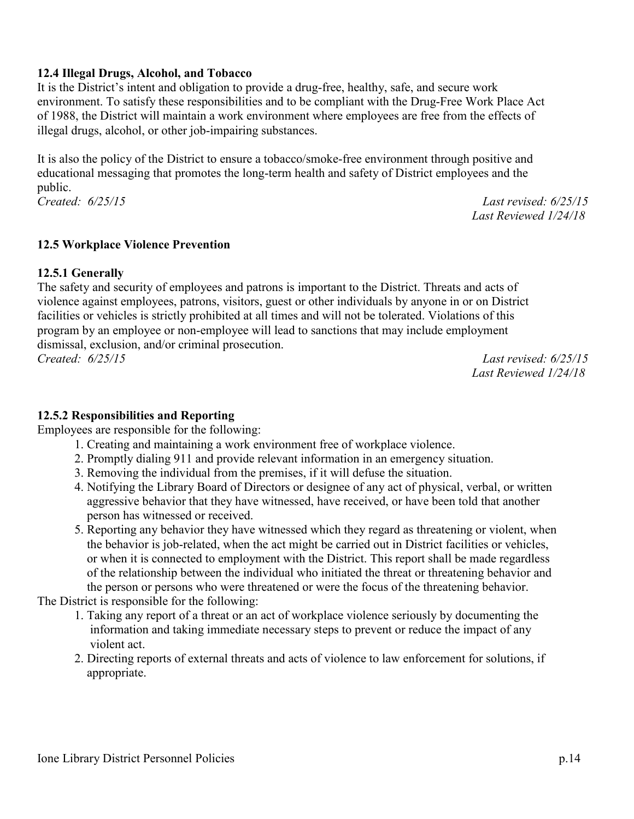#### **12.4 Illegal Drugs, Alcohol, and Tobacco**

It is the District's intent and obligation to provide a drug-free, healthy, safe, and secure work environment. To satisfy these responsibilities and to be compliant with the Drug-Free Work Place Act of 1988, the District will maintain a work environment where employees are free from the effects of illegal drugs, alcohol, or other job-impairing substances.

It is also the policy of the District to ensure a tobacco/smoke-free environment through positive and educational messaging that promotes the long-term health and safety of District employees and the public.

*Created: 6/25/15 Last revised: 6/25/15 Last Reviewed 1/24/18*

#### **12.5 Workplace Violence Prevention**

#### **12.5.1 Generally**

The safety and security of employees and patrons is important to the District. Threats and acts of violence against employees, patrons, visitors, guest or other individuals by anyone in or on District facilities or vehicles is strictly prohibited at all times and will not be tolerated. Violations of this program by an employee or non-employee will lead to sanctions that may include employment dismissal, exclusion, and/or criminal prosecution. *Created: 6/25/15 Last revised: 6/25/15*

 *Last Reviewed 1/24/18*

#### **12.5.2 Responsibilities and Reporting**

Employees are responsible for the following:

- 1. Creating and maintaining a work environment free of workplace violence.
- 2. Promptly dialing 911 and provide relevant information in an emergency situation.
- 3. Removing the individual from the premises, if it will defuse the situation.
- 4. Notifying the Library Board of Directors or designee of any act of physical, verbal, or written aggressive behavior that they have witnessed, have received, or have been told that another person has witnessed or received.
- 5. Reporting any behavior they have witnessed which they regard as threatening or violent, when the behavior is job-related, when the act might be carried out in District facilities or vehicles, or when it is connected to employment with the District. This report shall be made regardless of the relationship between the individual who initiated the threat or threatening behavior and the person or persons who were threatened or were the focus of the threatening behavior.

The District is responsible for the following:

- 1. Taking any report of a threat or an act of workplace violence seriously by documenting the information and taking immediate necessary steps to prevent or reduce the impact of any violent act.
- 2. Directing reports of external threats and acts of violence to law enforcement for solutions, if appropriate.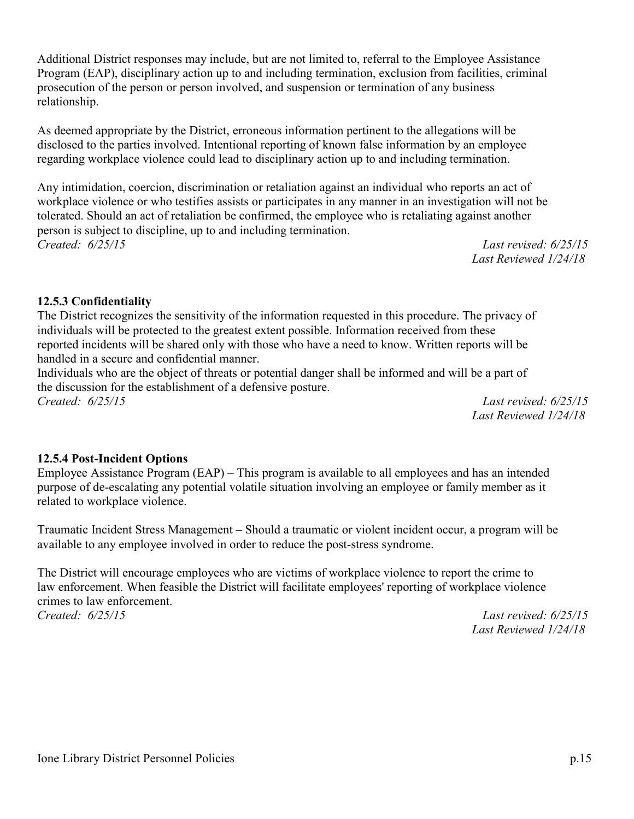Additional District responses may include, but are not limited to, referral to the Employee Assistance Program (EAP), disciplinary action up to and including termination, exclusion from facilities, criminal prosecution of the person or person involved, and suspension or termination of any business relationship.

As deemed appropriate by the District, erroneous information pertinent to the allegations will be disclosed to the parties involved. Intentional reporting of known false information by an employee regarding workplace violence could lead to disciplinary action up to and including termination.

Any intimidation, coercion, discrimination or retaliation against an individual who reports an act of workplace violence or who testifies assists or participates in any manner in an investigation will not be tolerated. Should an act of retaliation be confirmed, the employee who is retaliating against another person is subject to discipline, up to and including termination. *Created: 6/25/15 Last revised: 6/25/15*

 *Last Reviewed 1/24/18*

#### **12.5.3 Confidentiality**

The District recognizes the sensitivity of the information requested in this procedure. The privacy of individuals will be protected to the greatest extent possible. Information received from these reported incidents will be shared only with those who have a need to know. Written reports will be handled in a secure and confidential manner.

Individuals who are the object of threats or potential danger shall be informed and will be a part of the discussion for the establishment of a defensive posture.

*Created: 6/25/15 Last revised: 6/25/15 Last Reviewed 1/24/18*

#### **12.5.4 Post-Incident Options**

Employee Assistance Program (EAP) – This program is available to all employees and has an intended purpose of de-escalating any potential volatile situation involving an employee or family member as it related to workplace violence.

Traumatic Incident Stress Management – Should a traumatic or violent incident occur, a program will be available to any employee involved in order to reduce the post-stress syndrome.

The District will encourage employees who are victims of workplace violence to report the crime to law enforcement. When feasible the District will facilitate employees' reporting of workplace violence crimes to law enforcement. *Created: 6/25/15 Last revised: 6/25/15*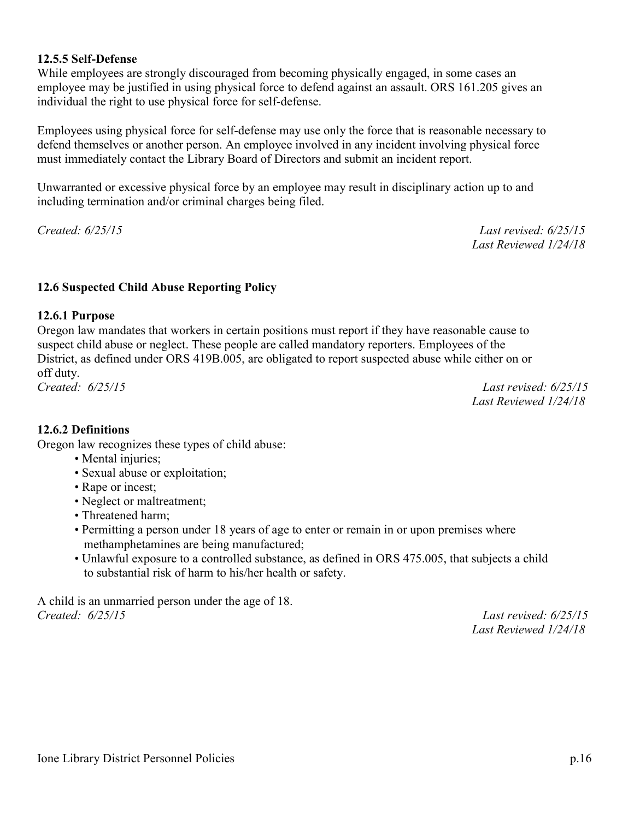#### **12.5.5 Self-Defense**

While employees are strongly discouraged from becoming physically engaged, in some cases an employee may be justified in using physical force to defend against an assault. ORS 161.205 gives an individual the right to use physical force for self-defense.

Employees using physical force for self-defense may use only the force that is reasonable necessary to defend themselves or another person. An employee involved in any incident involving physical force must immediately contact the Library Board of Directors and submit an incident report.

Unwarranted or excessive physical force by an employee may result in disciplinary action up to and including termination and/or criminal charges being filed.

*Created: 6/25/15 Last revised: 6/25/15 Last Reviewed 1/24/18*

#### **12.6 Suspected Child Abuse Reporting Policy**

#### **12.6.1 Purpose**

Oregon law mandates that workers in certain positions must report if they have reasonable cause to suspect child abuse or neglect. These people are called mandatory reporters. Employees of the District, as defined under ORS 419B.005, are obligated to report suspected abuse while either on or off duty. *Created: 6/25/15 Last revised: 6/25/15*

 *Last Reviewed 1/24/18*

#### **12.6.2 Definitions**

Oregon law recognizes these types of child abuse:

- Mental injuries;
- Sexual abuse or exploitation;
- Rape or incest;
- Neglect or maltreatment;
- Threatened harm;
- Permitting a person under 18 years of age to enter or remain in or upon premises where methamphetamines are being manufactured;
- Unlawful exposure to a controlled substance, as defined in ORS 475.005, that subjects a child to substantial risk of harm to his/her health or safety.

A child is an unmarried person under the age of 18. *Created: 6/25/15 Last revised: 6/25/15*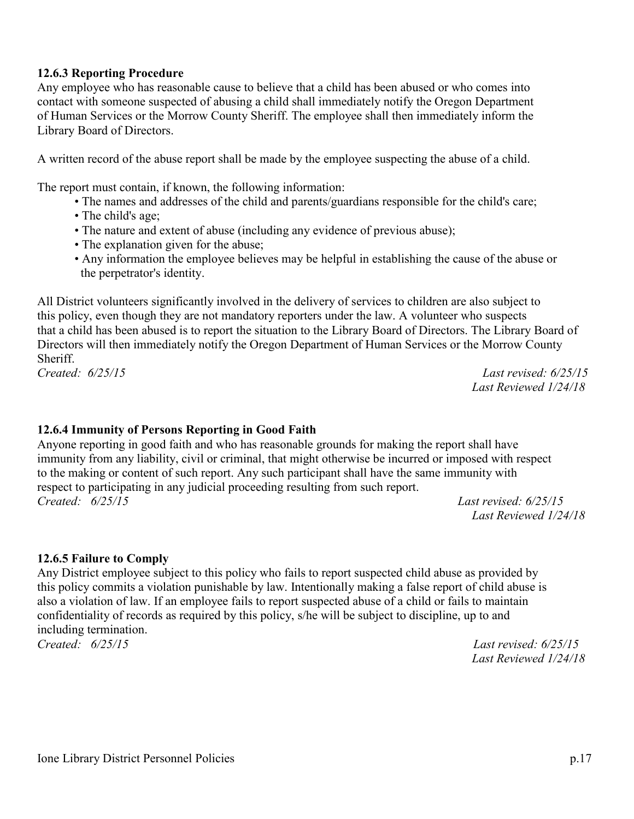#### **12.6.3 Reporting Procedure**

Any employee who has reasonable cause to believe that a child has been abused or who comes into contact with someone suspected of abusing a child shall immediately notify the Oregon Department of Human Services or the Morrow County Sheriff. The employee shall then immediately inform the Library Board of Directors.

A written record of the abuse report shall be made by the employee suspecting the abuse of a child.

The report must contain, if known, the following information:

- The names and addresses of the child and parents/guardians responsible for the child's care;
- The child's age;
- The nature and extent of abuse (including any evidence of previous abuse);
- The explanation given for the abuse;
- Any information the employee believes may be helpful in establishing the cause of the abuse or the perpetrator's identity.

All District volunteers significantly involved in the delivery of services to children are also subject to this policy, even though they are not mandatory reporters under the law. A volunteer who suspects that a child has been abused is to report the situation to the Library Board of Directors. The Library Board of Directors will then immediately notify the Oregon Department of Human Services or the Morrow County Sheriff. *Created: 6/25/15 Last revised: 6/25/15*

 *Last Reviewed 1/24/18*

#### **12.6.4 Immunity of Persons Reporting in Good Faith**

Anyone reporting in good faith and who has reasonable grounds for making the report shall have immunity from any liability, civil or criminal, that might otherwise be incurred or imposed with respect to the making or content of such report. Any such participant shall have the same immunity with respect to participating in any judicial proceeding resulting from such report. *Created: 6/25/15 Last revised: 6/25/15*

 *Last Reviewed 1/24/18*

#### **12.6.5 Failure to Comply**

Any District employee subject to this policy who fails to report suspected child abuse as provided by this policy commits a violation punishable by law. Intentionally making a false report of child abuse is also a violation of law. If an employee fails to report suspected abuse of a child or fails to maintain confidentiality of records as required by this policy, s/he will be subject to discipline, up to and including termination. *Created: 6/25/15 Last revised: 6/25/15*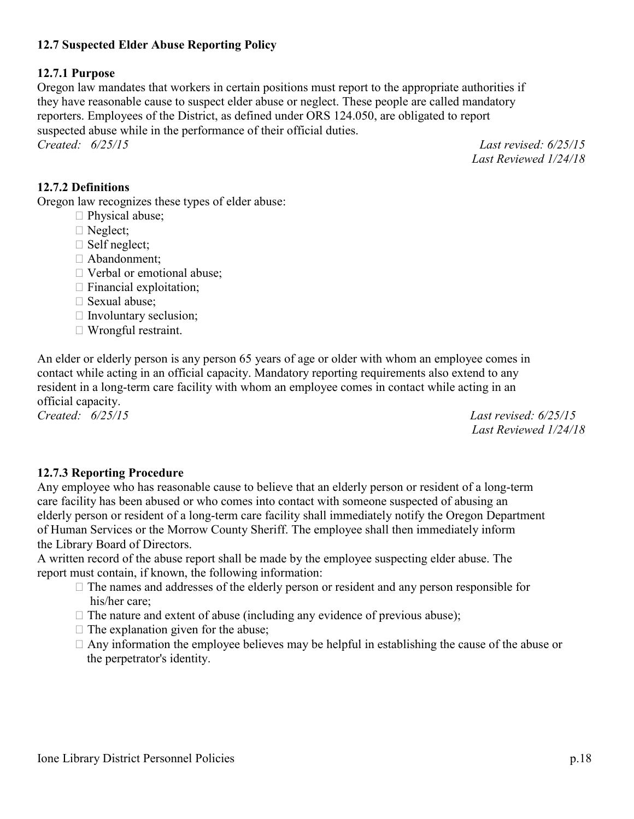#### **12.7 Suspected Elder Abuse Reporting Policy**

#### **12.7.1 Purpose**

Oregon law mandates that workers in certain positions must report to the appropriate authorities if they have reasonable cause to suspect elder abuse or neglect. These people are called mandatory reporters. Employees of the District, as defined under ORS 124.050, are obligated to report suspected abuse while in the performance of their official duties. *Created: 6/25/15 Last revised: 6/25/15*

 *Last Reviewed 1/24/18*

#### **12.7.2 Definitions**

Oregon law recognizes these types of elder abuse:

- □ Physical abuse;
- □ Neglect;
- $\Box$  Self neglect;
- Abandonment;
- □ Verbal or emotional abuse;
- $\Box$  Financial exploitation;
- $\Box$  Sexual abuse;
- $\Box$  Involuntary seclusion;
- □ Wrongful restraint.

An elder or elderly person is any person 65 years of age or older with whom an employee comes in contact while acting in an official capacity. Mandatory reporting requirements also extend to any resident in a long-term care facility with whom an employee comes in contact while acting in an official capacity.

*Created: 6/25/15 Last revised: 6/25/15 Last Reviewed 1/24/18*

#### **12.7.3 Reporting Procedure**

Any employee who has reasonable cause to believe that an elderly person or resident of a long-term care facility has been abused or who comes into contact with someone suspected of abusing an elderly person or resident of a long-term care facility shall immediately notify the Oregon Department of Human Services or the Morrow County Sheriff. The employee shall then immediately inform the Library Board of Directors.

A written record of the abuse report shall be made by the employee suspecting elder abuse. The report must contain, if known, the following information:

- $\Box$  The names and addresses of the elderly person or resident and any person responsible for his/her care;
- $\Box$  The nature and extent of abuse (including any evidence of previous abuse);
- $\Box$  The explanation given for the abuse;
- $\Box$  Any information the employee believes may be helpful in establishing the cause of the abuse or the perpetrator's identity.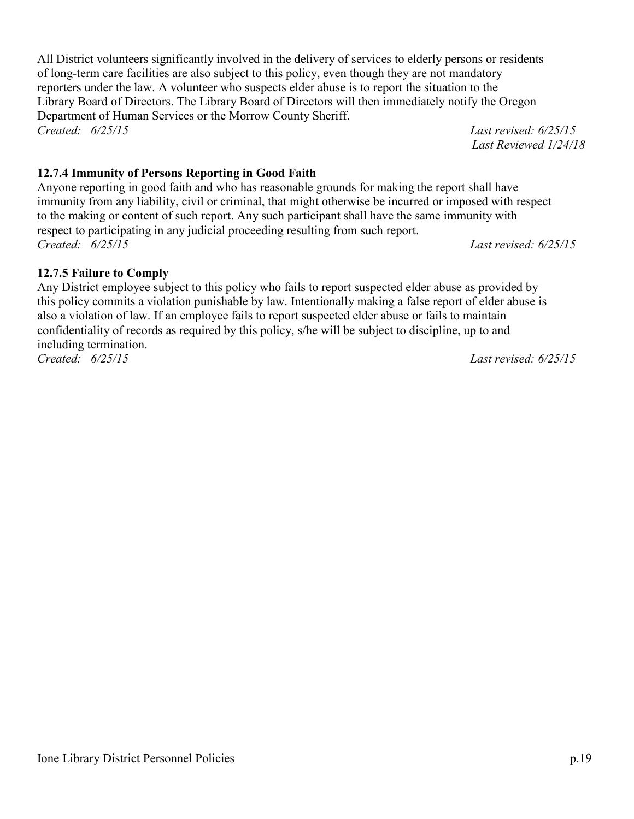All District volunteers significantly involved in the delivery of services to elderly persons or residents of long-term care facilities are also subject to this policy, even though they are not mandatory reporters under the law. A volunteer who suspects elder abuse is to report the situation to the Library Board of Directors. The Library Board of Directors will then immediately notify the Oregon Department of Human Services or the Morrow County Sheriff. *Created: 6/25/15 Last revised: 6/25/15*

 *Last Reviewed 1/24/18*

#### **12.7.4 Immunity of Persons Reporting in Good Faith**

Anyone reporting in good faith and who has reasonable grounds for making the report shall have immunity from any liability, civil or criminal, that might otherwise be incurred or imposed with respect to the making or content of such report. Any such participant shall have the same immunity with respect to participating in any judicial proceeding resulting from such report. *Created: 6/25/15 Last revised: 6/25/15*

#### **12.7.5 Failure to Comply**

Any District employee subject to this policy who fails to report suspected elder abuse as provided by this policy commits a violation punishable by law. Intentionally making a false report of elder abuse is also a violation of law. If an employee fails to report suspected elder abuse or fails to maintain confidentiality of records as required by this policy, s/he will be subject to discipline, up to and including termination. *Created: 6/25/15 Last revised: 6/25/15*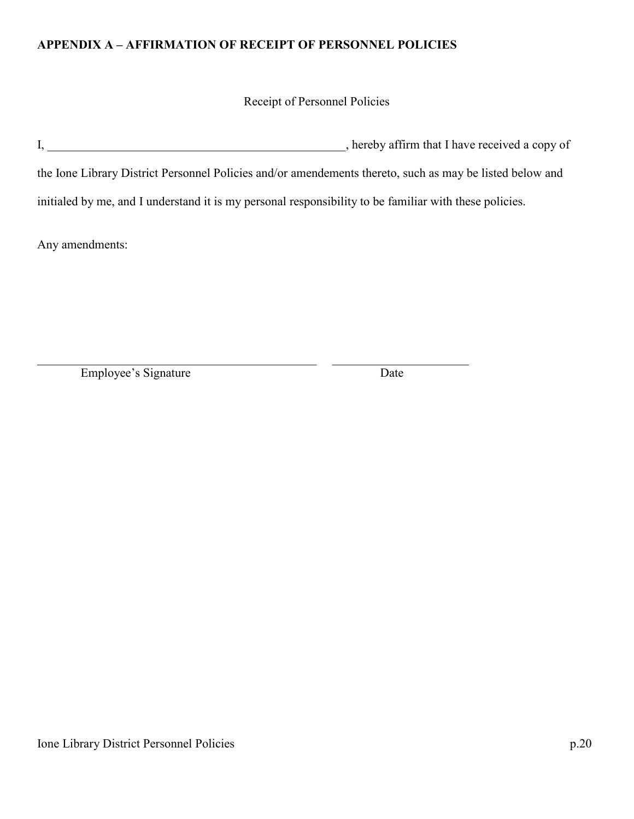#### **APPENDIX A – AFFIRMATION OF RECEIPT OF PERSONNEL POLICIES**

Receipt of Personnel Policies

| T. | , hereby affirm that I have received a copy of |
|----|------------------------------------------------|
|    |                                                |

the Ione Library District Personnel Policies and/or amendements thereto, such as may be listed below and

initialed by me, and I understand it is my personal responsibility to be familiar with these policies.

Any amendments:

Employee's Signature Date